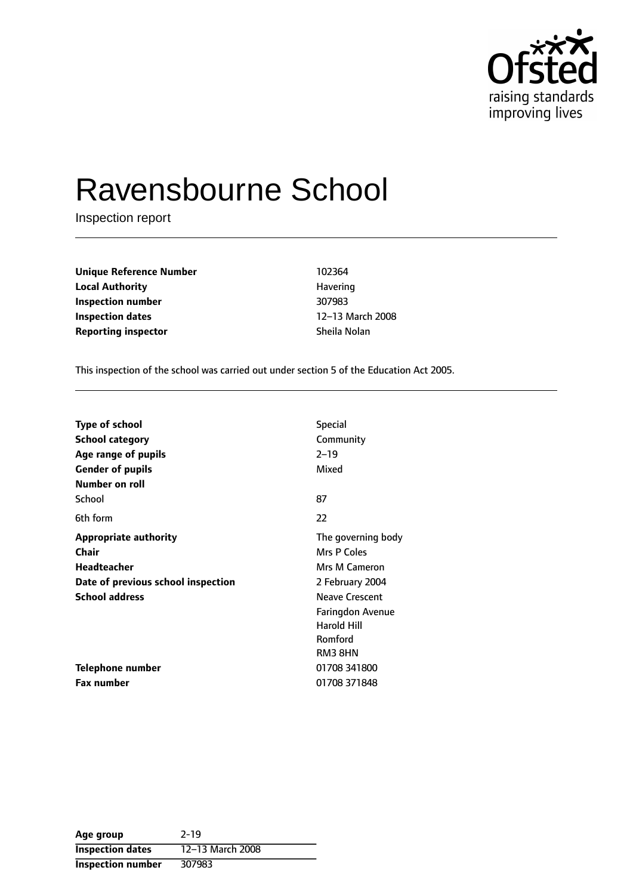

# Ravensbourne School

Inspection report

**Unique Reference Number** 102364 **Local Authority Havering Inspection number** 307983 **Inspection dates** 12-13 March 2008 **Reporting inspector** Sheila Nolan

This inspection of the school was carried out under section 5 of the Education Act 2005.

| <b>Type of school</b>              | <b>Special</b>        |
|------------------------------------|-----------------------|
| <b>School category</b>             | Community             |
| Age range of pupils                | $2 - 19$              |
| <b>Gender of pupils</b>            | Mixed                 |
| Number on roll                     |                       |
| School                             | 87                    |
| 6th form                           | 22                    |
| <b>Appropriate authority</b>       | The governing body    |
| <b>Chair</b>                       | Mrs P Coles           |
| Headteacher                        | Mrs M Cameron         |
| Date of previous school inspection | 2 February 2004       |
| <b>School address</b>              | <b>Neave Crescent</b> |
|                                    | Faringdon Avenue      |
|                                    | <b>Harold Hill</b>    |
|                                    | Romford               |
|                                    | RM3 8HN               |
| <b>Telephone number</b>            | 01708 341800          |
| <b>Fax number</b>                  | 01708 371848          |

| Age group                | $2 - 19$         |
|--------------------------|------------------|
| <b>Inspection dates</b>  | 12-13 March 2008 |
| <b>Inspection number</b> | 307983           |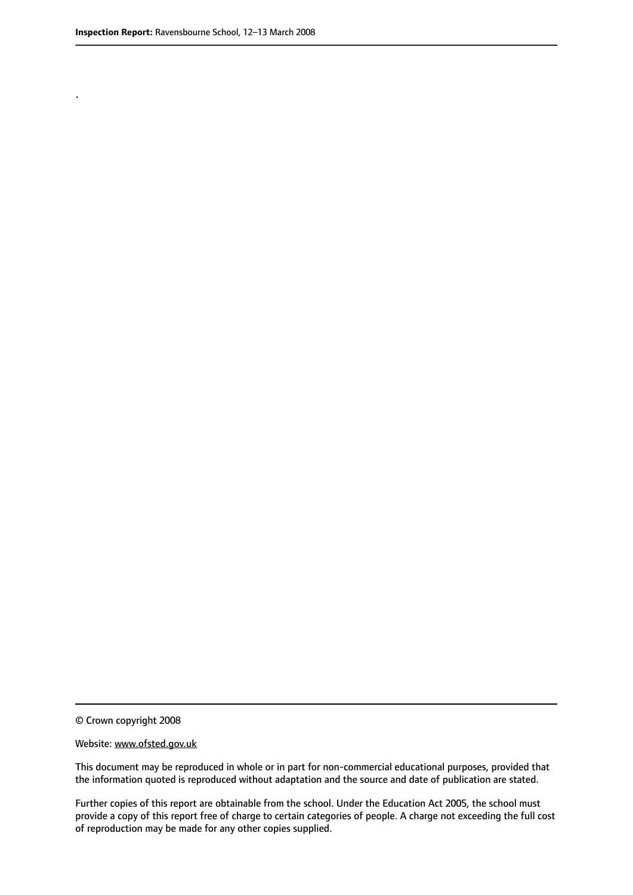.

© Crown copyright 2008

#### Website: www.ofsted.gov.uk

This document may be reproduced in whole or in part for non-commercial educational purposes, provided that the information quoted is reproduced without adaptation and the source and date of publication are stated.

Further copies of this report are obtainable from the school. Under the Education Act 2005, the school must provide a copy of this report free of charge to certain categories of people. A charge not exceeding the full cost of reproduction may be made for any other copies supplied.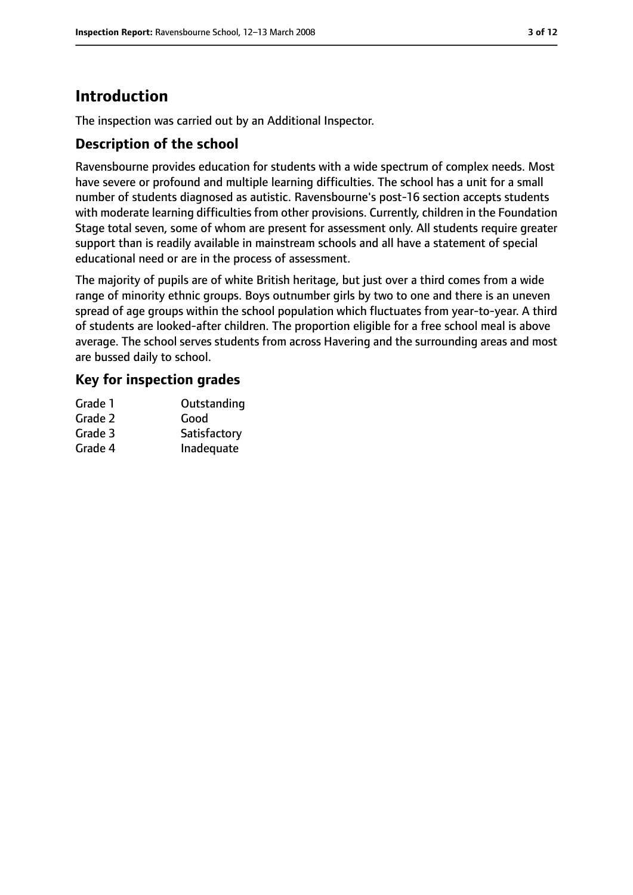# **Introduction**

The inspection was carried out by an Additional Inspector.

## **Description of the school**

Ravensbourne provides education for students with a wide spectrum of complex needs. Most have severe or profound and multiple learning difficulties. The school has a unit for a small number of students diagnosed as autistic. Ravensbourne's post-16 section accepts students with moderate learning difficulties from other provisions. Currently, children in the Foundation Stage total seven, some of whom are present for assessment only. All students require greater support than is readily available in mainstream schools and all have a statement of special educational need or are in the process of assessment.

The majority of pupils are of white British heritage, but just over a third comes from a wide range of minority ethnic groups. Boys outnumber girls by two to one and there is an uneven spread of age groups within the school population which fluctuates from year-to-year. A third of students are looked-after children. The proportion eligible for a free school meal is above average. The school serves students from across Havering and the surrounding areas and most are bussed daily to school.

## **Key for inspection grades**

| Grade 1 | Outstanding  |
|---------|--------------|
| Grade 2 | Good         |
| Grade 3 | Satisfactory |
| Grade 4 | Inadequate   |
|         |              |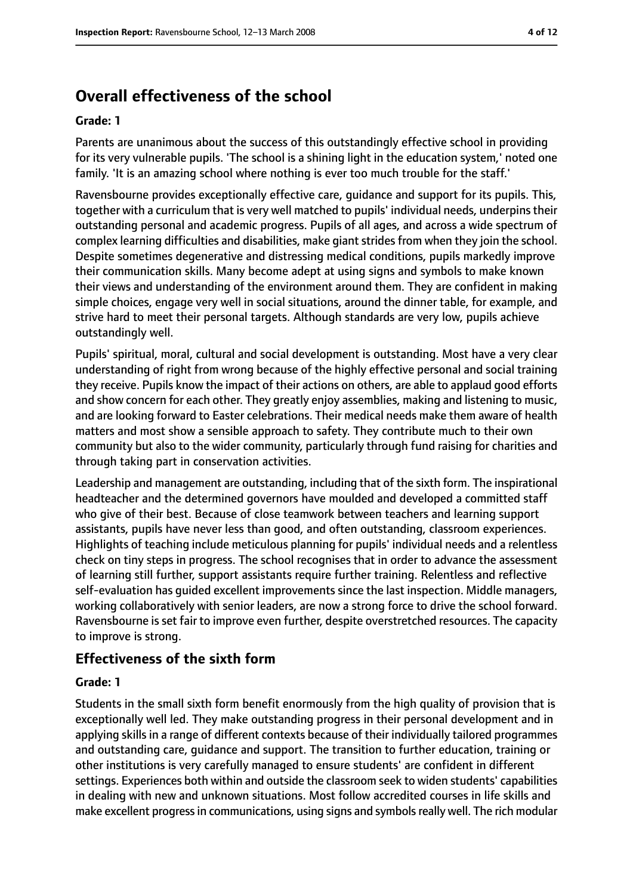# **Overall effectiveness of the school**

#### **Grade: 1**

Parents are unanimous about the success of this outstandingly effective school in providing for its very vulnerable pupils. 'The school is a shining light in the education system,' noted one family. 'It is an amazing school where nothing is ever too much trouble for the staff.'

Ravensbourne provides exceptionally effective care, guidance and support for its pupils. This, together with a curriculum that is very well matched to pupils' individual needs, underpins their outstanding personal and academic progress. Pupils of all ages, and across a wide spectrum of complex learning difficulties and disabilities, make giant strides from when they join the school. Despite sometimes degenerative and distressing medical conditions, pupils markedly improve their communication skills. Many become adept at using signs and symbols to make known their views and understanding of the environment around them. They are confident in making simple choices, engage very well in social situations, around the dinner table, for example, and strive hard to meet their personal targets. Although standards are very low, pupils achieve outstandingly well.

Pupils' spiritual, moral, cultural and social development is outstanding. Most have a very clear understanding of right from wrong because of the highly effective personal and social training they receive. Pupils know the impact of their actions on others, are able to applaud good efforts and show concern for each other. They greatly enjoy assemblies, making and listening to music, and are looking forward to Easter celebrations. Their medical needs make them aware of health matters and most show a sensible approach to safety. They contribute much to their own community but also to the wider community, particularly through fund raising for charities and through taking part in conservation activities.

Leadership and management are outstanding, including that of the sixth form. The inspirational headteacher and the determined governors have moulded and developed a committed staff who give of their best. Because of close teamwork between teachers and learning support assistants, pupils have never less than good, and often outstanding, classroom experiences. Highlights of teaching include meticulous planning for pupils' individual needs and a relentless check on tiny steps in progress. The school recognises that in order to advance the assessment of learning still further, support assistants require further training. Relentless and reflective self-evaluation has guided excellent improvements since the last inspection. Middle managers, working collaboratively with senior leaders, are now a strong force to drive the school forward. Ravensbourne is set fair to improve even further, despite overstretched resources. The capacity to improve is strong.

## **Effectiveness of the sixth form**

#### **Grade: 1**

Students in the small sixth form benefit enormously from the high quality of provision that is exceptionally well led. They make outstanding progress in their personal development and in applying skills in a range of different contexts because of their individually tailored programmes and outstanding care, guidance and support. The transition to further education, training or other institutions is very carefully managed to ensure students' are confident in different settings. Experiences both within and outside the classroom seek to widen students' capabilities in dealing with new and unknown situations. Most follow accredited courses in life skills and make excellent progress in communications, using signs and symbols really well. The rich modular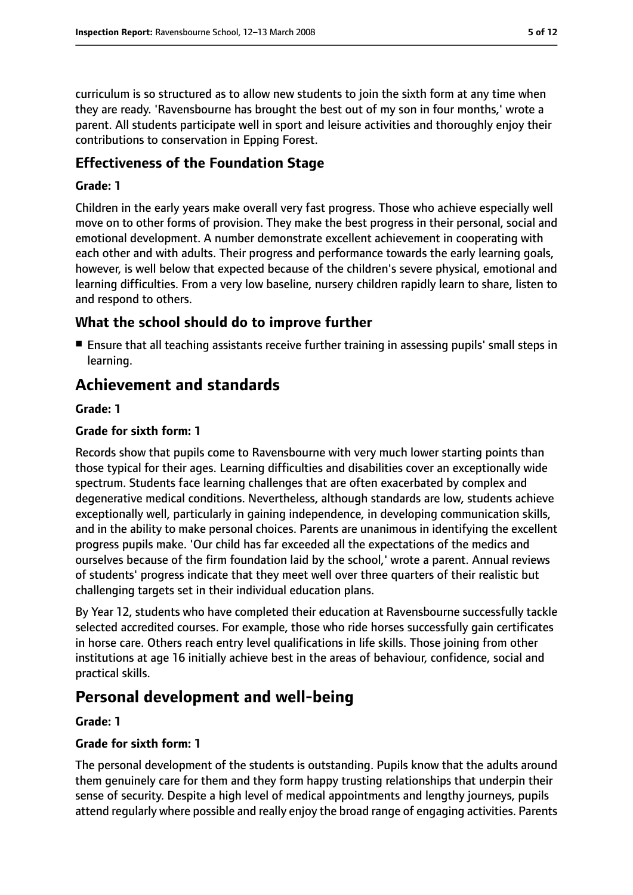curriculum is so structured as to allow new students to join the sixth form at any time when they are ready. 'Ravensbourne has brought the best out of my son in four months,' wrote a parent. All students participate well in sport and leisure activities and thoroughly enjoy their contributions to conservation in Epping Forest.

## **Effectiveness of the Foundation Stage**

#### **Grade: 1**

Children in the early years make overall very fast progress. Those who achieve especially well move on to other forms of provision. They make the best progress in their personal, social and emotional development. A number demonstrate excellent achievement in cooperating with each other and with adults. Their progress and performance towards the early learning goals, however, is well below that expected because of the children's severe physical, emotional and learning difficulties. From a very low baseline, nursery children rapidly learn to share, listen to and respond to others.

## **What the school should do to improve further**

■ Ensure that all teaching assistants receive further training in assessing pupils' small steps in learning.

## **Achievement and standards**

## **Grade: 1**

## **Grade for sixth form: 1**

Records show that pupils come to Ravensbourne with very much lower starting points than those typical for their ages. Learning difficulties and disabilities cover an exceptionally wide spectrum. Students face learning challenges that are often exacerbated by complex and degenerative medical conditions. Nevertheless, although standards are low, students achieve exceptionally well, particularly in gaining independence, in developing communication skills, and in the ability to make personal choices. Parents are unanimous in identifying the excellent progress pupils make. 'Our child has far exceeded all the expectations of the medics and ourselves because of the firm foundation laid by the school,' wrote a parent. Annual reviews of students' progress indicate that they meet well over three quarters of their realistic but challenging targets set in their individual education plans.

By Year 12, students who have completed their education at Ravensbourne successfully tackle selected accredited courses. For example, those who ride horses successfully gain certificates in horse care. Others reach entry level qualifications in life skills. Those joining from other institutions at age 16 initially achieve best in the areas of behaviour, confidence, social and practical skills.

## **Personal development and well-being**

## **Grade: 1**

## **Grade for sixth form: 1**

The personal development of the students is outstanding. Pupils know that the adults around them genuinely care for them and they form happy trusting relationships that underpin their sense of security. Despite a high level of medical appointments and lengthy journeys, pupils attend regularly where possible and really enjoy the broad range of engaging activities. Parents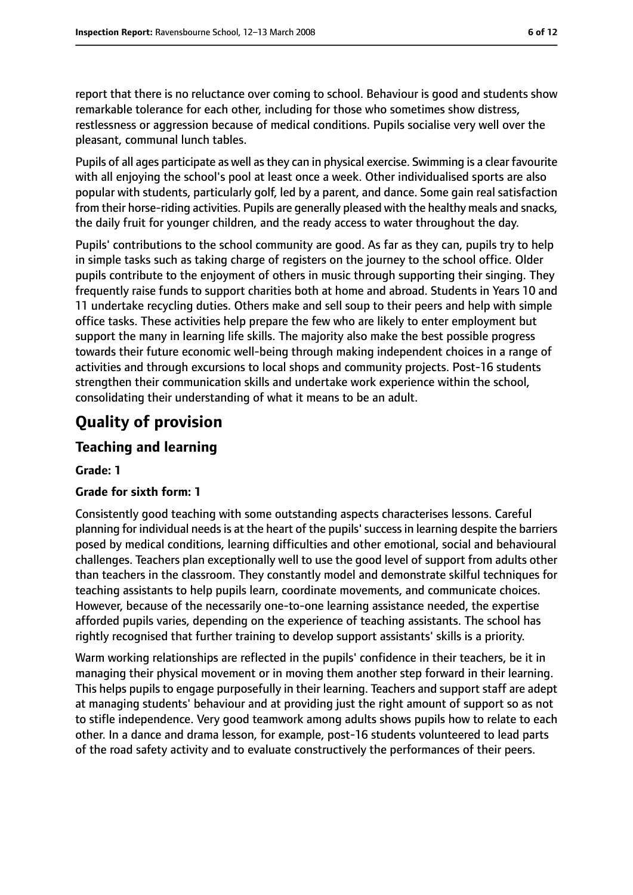report that there is no reluctance over coming to school. Behaviour is good and students show remarkable tolerance for each other, including for those who sometimes show distress, restlessness or aggression because of medical conditions. Pupils socialise very well over the pleasant, communal lunch tables.

Pupils of all ages participate as well as they can in physical exercise. Swimming is a clear favourite with all enjoying the school's pool at least once a week. Other individualised sports are also popular with students, particularly golf, led by a parent, and dance. Some gain real satisfaction from their horse-riding activities. Pupils are generally pleased with the healthy meals and snacks, the daily fruit for younger children, and the ready access to water throughout the day.

Pupils' contributions to the school community are good. As far as they can, pupils try to help in simple tasks such as taking charge of registers on the journey to the school office. Older pupils contribute to the enjoyment of others in music through supporting their singing. They frequently raise funds to support charities both at home and abroad. Students in Years 10 and 11 undertake recycling duties. Others make and sell soup to their peers and help with simple office tasks. These activities help prepare the few who are likely to enter employment but support the many in learning life skills. The majority also make the best possible progress towards their future economic well-being through making independent choices in a range of activities and through excursions to local shops and community projects. Post-16 students strengthen their communication skills and undertake work experience within the school, consolidating their understanding of what it means to be an adult.

# **Quality of provision**

## **Teaching and learning**

#### **Grade: 1**

## **Grade for sixth form: 1**

Consistently good teaching with some outstanding aspects characterises lessons. Careful planning for individual needs is at the heart of the pupils' success in learning despite the barriers posed by medical conditions, learning difficulties and other emotional, social and behavioural challenges. Teachers plan exceptionally well to use the good level of support from adults other than teachers in the classroom. They constantly model and demonstrate skilful techniques for teaching assistants to help pupils learn, coordinate movements, and communicate choices. However, because of the necessarily one-to-one learning assistance needed, the expertise afforded pupils varies, depending on the experience of teaching assistants. The school has rightly recognised that further training to develop support assistants' skills is a priority.

Warm working relationships are reflected in the pupils' confidence in their teachers, be it in managing their physical movement or in moving them another step forward in their learning. This helps pupils to engage purposefully in their learning. Teachers and support staff are adept at managing students' behaviour and at providing just the right amount of support so as not to stifle independence. Very good teamwork among adults shows pupils how to relate to each other. In a dance and drama lesson, for example, post-16 students volunteered to lead parts of the road safety activity and to evaluate constructively the performances of their peers.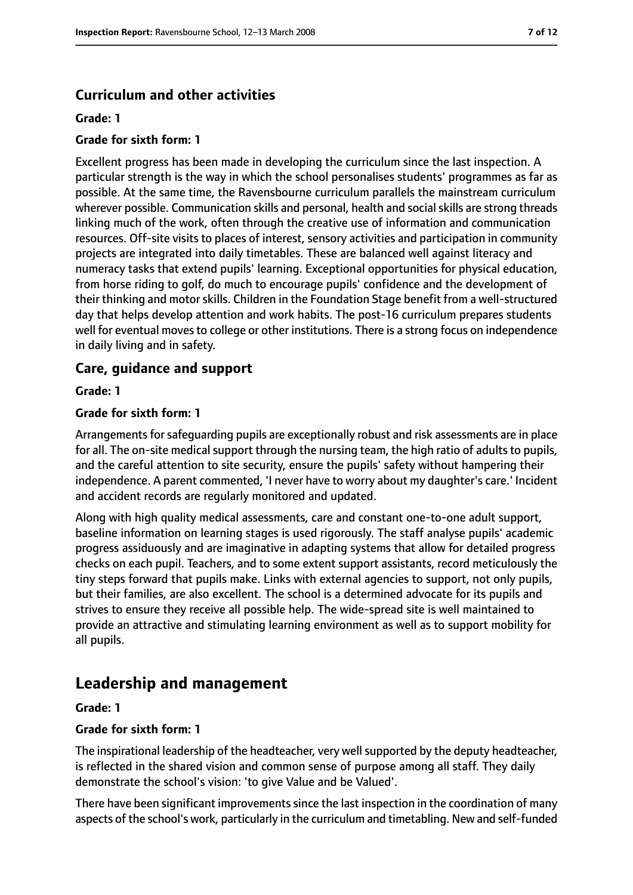## **Curriculum and other activities**

#### **Grade: 1**

#### **Grade for sixth form: 1**

Excellent progress has been made in developing the curriculum since the last inspection. A particular strength is the way in which the school personalises students' programmes as far as possible. At the same time, the Ravensbourne curriculum parallels the mainstream curriculum wherever possible. Communication skills and personal, health and social skills are strong threads linking much of the work, often through the creative use of information and communication resources. Off-site visits to places of interest, sensory activities and participation in community projects are integrated into daily timetables. These are balanced well against literacy and numeracy tasks that extend pupils' learning. Exceptional opportunities for physical education, from horse riding to golf, do much to encourage pupils' confidence and the development of their thinking and motor skills. Children in the Foundation Stage benefit from a well-structured day that helps develop attention and work habits. The post-16 curriculum prepares students well for eventual moves to college or other institutions. There is a strong focus on independence in daily living and in safety.

## **Care, guidance and support**

#### **Grade: 1**

#### **Grade for sixth form: 1**

Arrangements for safeguarding pupils are exceptionally robust and risk assessments are in place for all. The on-site medical support through the nursing team, the high ratio of adults to pupils, and the careful attention to site security, ensure the pupils' safety without hampering their independence. A parent commented, 'I never have to worry about my daughter's care.' Incident and accident records are regularly monitored and updated.

Along with high quality medical assessments, care and constant one-to-one adult support, baseline information on learning stages is used rigorously. The staff analyse pupils' academic progress assiduously and are imaginative in adapting systems that allow for detailed progress checks on each pupil. Teachers, and to some extent support assistants, record meticulously the tiny steps forward that pupils make. Links with external agencies to support, not only pupils, but their families, are also excellent. The school is a determined advocate for its pupils and strives to ensure they receive all possible help. The wide-spread site is well maintained to provide an attractive and stimulating learning environment as well as to support mobility for all pupils.

## **Leadership and management**

#### **Grade: 1**

#### **Grade for sixth form: 1**

The inspirational leadership of the headteacher, very wellsupported by the deputy headteacher, is reflected in the shared vision and common sense of purpose among all staff. They daily demonstrate the school's vision: 'to give Value and be Valued'.

There have been significant improvements since the last inspection in the coordination of many aspects of the school's work, particularly in the curriculum and timetabling. New and self-funded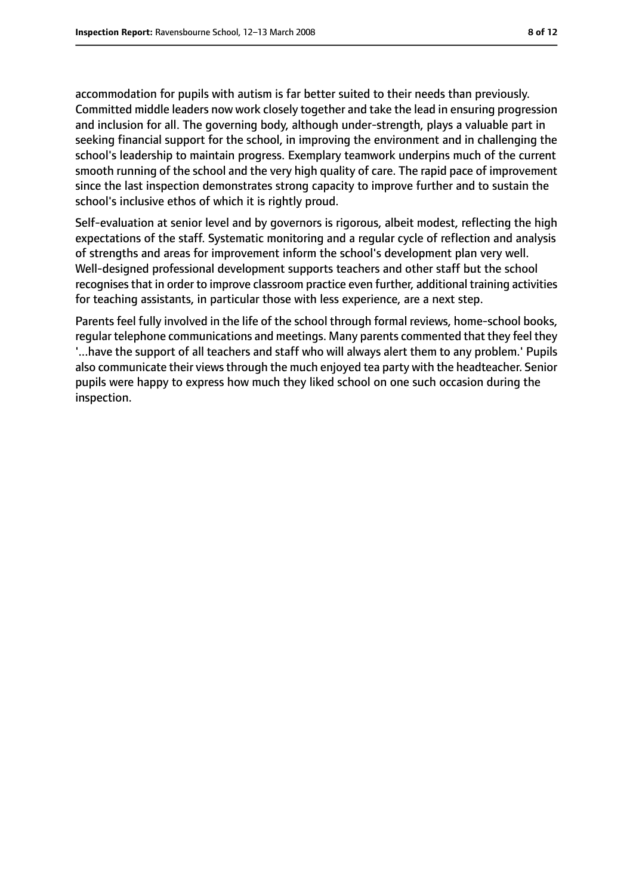accommodation for pupils with autism is far better suited to their needs than previously. Committed middle leaders now work closely together and take the lead in ensuring progression and inclusion for all. The governing body, although under-strength, plays a valuable part in seeking financial support for the school, in improving the environment and in challenging the school's leadership to maintain progress. Exemplary teamwork underpins much of the current smooth running of the school and the very high quality of care. The rapid pace of improvement since the last inspection demonstrates strong capacity to improve further and to sustain the school's inclusive ethos of which it is rightly proud.

Self-evaluation at senior level and by governors is rigorous, albeit modest, reflecting the high expectations of the staff. Systematic monitoring and a regular cycle of reflection and analysis of strengths and areas for improvement inform the school's development plan very well. Well-designed professional development supports teachers and other staff but the school recognises that in order to improve classroom practice even further, additional training activities for teaching assistants, in particular those with less experience, are a next step.

Parents feel fully involved in the life of the school through formal reviews, home-school books, regular telephone communications and meetings. Many parents commented that they feel they '...have the support of all teachers and staff who will always alert them to any problem.' Pupils also communicate their views through the much enjoyed tea party with the headteacher. Senior pupils were happy to express how much they liked school on one such occasion during the inspection.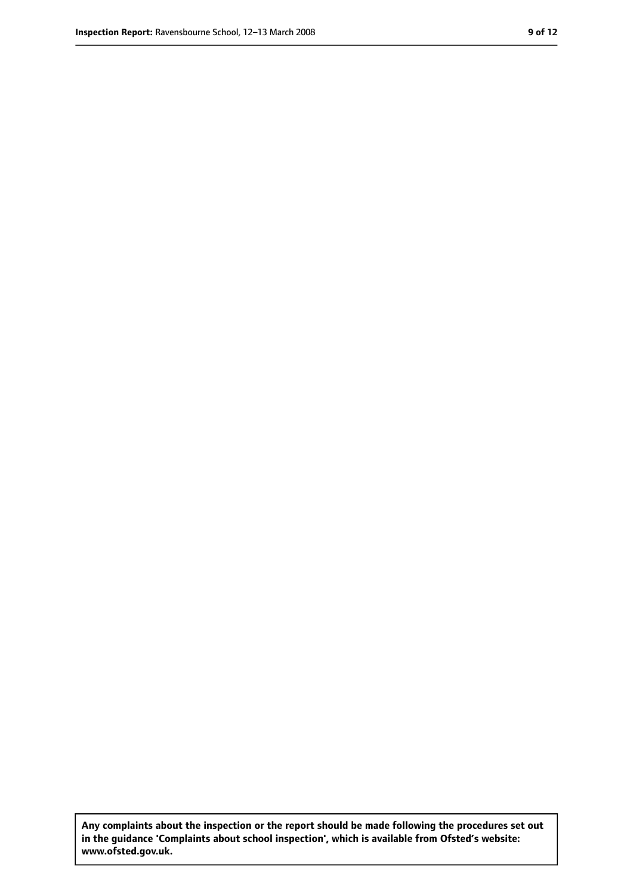**Any complaints about the inspection or the report should be made following the procedures set out in the guidance 'Complaints about school inspection', which is available from Ofsted's website: www.ofsted.gov.uk.**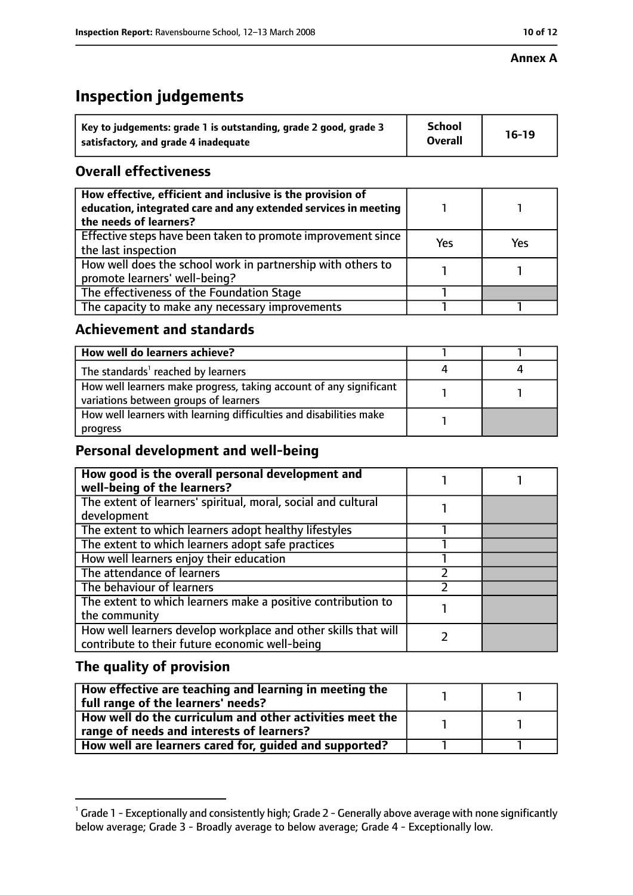#### **Annex A**

# **Inspection judgements**

| Key to judgements: grade 1 is outstanding, grade 2 good, grade 3 | <b>School</b>  | $16-19$ |
|------------------------------------------------------------------|----------------|---------|
| satisfactory, and grade 4 inadequate                             | <b>Overall</b> |         |

## **Overall effectiveness**

| How effective, efficient and inclusive is the provision of<br>education, integrated care and any extended services in meeting<br>the needs of learners? |     |     |
|---------------------------------------------------------------------------------------------------------------------------------------------------------|-----|-----|
| Effective steps have been taken to promote improvement since  <br>the last inspection                                                                   | Yes | Yes |
| How well does the school work in partnership with others to<br>promote learners' well-being?                                                            |     |     |
| The effectiveness of the Foundation Stage                                                                                                               |     |     |
| The capacity to make any necessary improvements                                                                                                         |     |     |

## **Achievement and standards**

| How well do learners achieve?                                                                               |  |
|-------------------------------------------------------------------------------------------------------------|--|
| The standards <sup>1</sup> reached by learners                                                              |  |
| How well learners make progress, taking account of any significant<br>variations between groups of learners |  |
| How well learners with learning difficulties and disabilities make<br>progress                              |  |

## **Personal development and well-being**

| How good is the overall personal development and<br>well-being of the learners?                                  |  |
|------------------------------------------------------------------------------------------------------------------|--|
| The extent of learners' spiritual, moral, social and cultural<br>development                                     |  |
| The extent to which learners adopt healthy lifestyles                                                            |  |
| The extent to which learners adopt safe practices                                                                |  |
| How well learners enjoy their education                                                                          |  |
| The attendance of learners                                                                                       |  |
| The behaviour of learners                                                                                        |  |
| The extent to which learners make a positive contribution to<br>the community                                    |  |
| How well learners develop workplace and other skills that will<br>contribute to their future economic well-being |  |

## **The quality of provision**

| How effective are teaching and learning in meeting the<br>full range of the learners' needs? |  |
|----------------------------------------------------------------------------------------------|--|
| How well do the curriculum and other activities meet the                                     |  |
| range of needs and interests of learners?                                                    |  |
| $\blacksquare$ How well are learners cared for, guided and supported?                        |  |

 $^1$  Grade 1 - Exceptionally and consistently high; Grade 2 - Generally above average with none significantly below average; Grade 3 - Broadly average to below average; Grade 4 - Exceptionally low.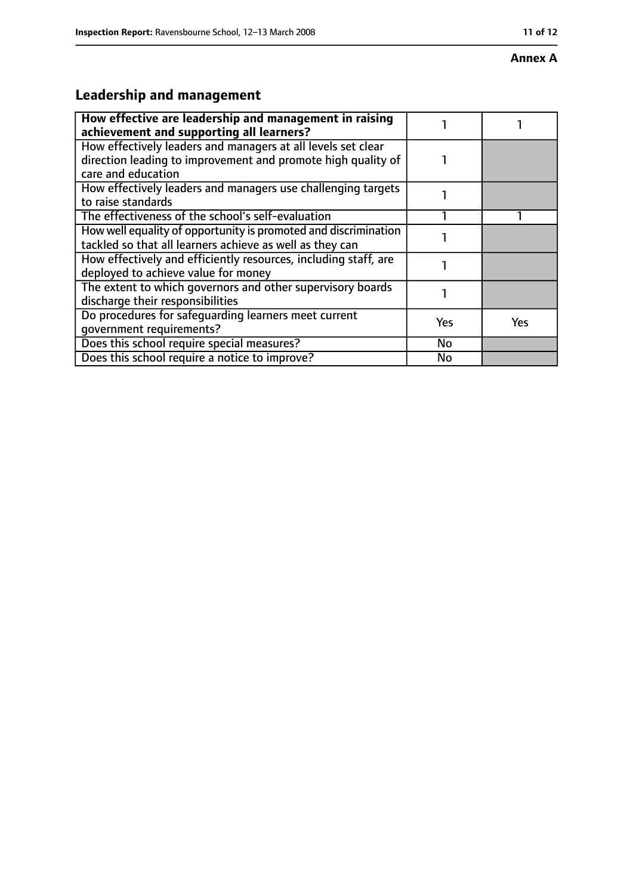#### **Annex A**

# **Leadership and management**

| How effective are leadership and management in raising<br>achievement and supporting all learners?                                                 |     |     |
|----------------------------------------------------------------------------------------------------------------------------------------------------|-----|-----|
| How effectively leaders and managers at all levels set clear<br>direction leading to improvement and promote high quality of<br>care and education |     |     |
| How effectively leaders and managers use challenging targets<br>to raise standards                                                                 |     |     |
| The effectiveness of the school's self-evaluation                                                                                                  |     |     |
| How well equality of opportunity is promoted and discrimination<br>tackled so that all learners achieve as well as they can                        |     |     |
| How effectively and efficiently resources, including staff, are<br>deployed to achieve value for money                                             |     |     |
| The extent to which governors and other supervisory boards<br>discharge their responsibilities                                                     |     |     |
| Do procedures for safequarding learners meet current<br>qovernment requirements?                                                                   | Yes | Yes |
| Does this school require special measures?                                                                                                         | No  |     |
| Does this school require a notice to improve?                                                                                                      | No  |     |